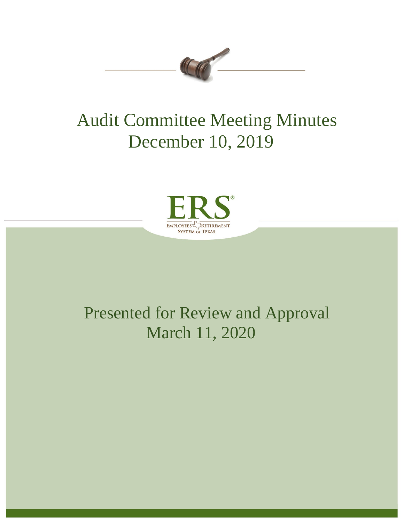

# Audit Committee Meeting Minutes December 10, 2019



## Presented for Review and Approval March 11, 2020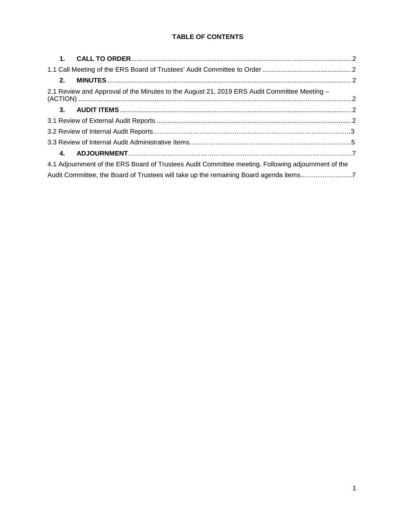## **TABLE OF CONTENTS**

| 1.                                                                                                 |  |
|----------------------------------------------------------------------------------------------------|--|
|                                                                                                    |  |
| 2.                                                                                                 |  |
| 2.1 Review and Approval of the Minutes to the August 21, 2019 ERS Audit Committee Meeting -        |  |
|                                                                                                    |  |
|                                                                                                    |  |
|                                                                                                    |  |
|                                                                                                    |  |
|                                                                                                    |  |
| 4.1 Adjournment of the ERS Board of Trustees Audit Committee meeting. Following adjournment of the |  |
| Audit Committee, the Board of Trustees will take up the remaining Board agenda items7              |  |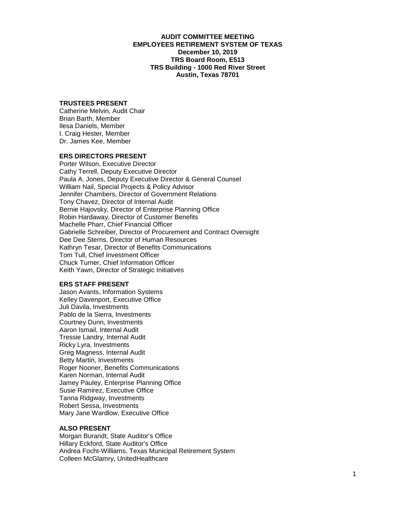## **AUDIT COMMITTEE MEETING EMPLOYEES RETIREMENT SYSTEM OF TEXAS December 10, 2019 TRS Board Room, E513 TRS Building - 1000 Red River Street Austin, Texas 78701**

## **TRUSTEES PRESENT**

Catherine Melvin, Audit Chair Brian Barth, Member Ilesa Daniels, Member I. Craig Hester, Member Dr. James Kee, Member

## **ERS DIRECTORS PRESENT**

Porter Wilson, Executive Director Cathy Terrell, Deputy Executive Director Paula A. Jones, Deputy Executive Director & General Counsel William Nail, Special Projects & Policy Advisor Jennifer Chambers, Director of Government Relations Tony Chavez, Director of Internal Audit Bernie Hajovsky, Director of Enterprise Planning Office Robin Hardaway, Director of Customer Benefits Machelle Pharr, Chief Financial Officer Gabrielle Schreiber, Director of Procurement and Contract Oversight Dee Dee Sterns, Director of Human Resources Kathryn Tesar, Director of Benefits Communications Tom Tull, Chief Investment Officer Chuck Turner, Chief Information Officer Keith Yawn, Director of Strategic Initiatives

#### **ERS STAFF PRESENT**

Jason Avants, Information Systems Kelley Davenport, Executive Office Juli Davila, Investments Pablo de la Sierra, Investments Courtney Dunn, Investments Aaron Ismail, Internal Audit Tressie Landry, Internal Audit Ricky Lyra, Investments Greg Magness, Internal Audit Betty Martin, Investments Roger Nooner, Benefits Communications Karen Norman, Internal Audit Jamey Pauley, Enterprise Planning Office Susie Ramirez, Executive Office Tanna Ridgway, Investments Robert Sessa, Investments Mary Jane Wardlow, Executive Office

## **ALSO PRESENT**

Morgan Burandt, State Auditor's Office Hillary Eckford, State Auditor's Office Andrea Focht-Williams, Texas Municipal Retirement System Colleen McGlamry, UnitedHealthcare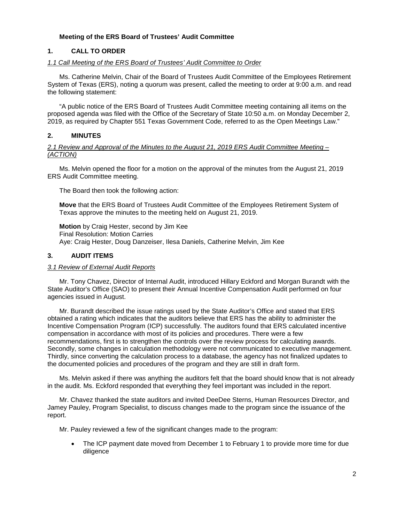## **Meeting of the ERS Board of Trustees' Audit Committee**

## <span id="page-3-0"></span>**1. CALL TO ORDER**

## <span id="page-3-1"></span>*1.1 Call Meeting of the ERS Board of Trustees' Audit Committee to Order*

Ms. Catherine Melvin, Chair of the Board of Trustees Audit Committee of the Employees Retirement System of Texas (ERS), noting a quorum was present, called the meeting to order at 9:00 a.m. and read the following statement:

"A public notice of the ERS Board of Trustees Audit Committee meeting containing all items on the proposed agenda was filed with the Office of the Secretary of State 10:50 a.m. on Monday December 2, 2019, as required by Chapter 551 Texas Government Code, referred to as the Open Meetings Law."

## <span id="page-3-2"></span>**2. MINUTES**

#### <span id="page-3-3"></span>*2.1 Review and Approval of the Minutes to the August 21, 2019 ERS Audit Committee Meeting – (ACTION)*

Ms. Melvin opened the floor for a motion on the approval of the minutes from the August 21, 2019 ERS Audit Committee meeting.

The Board then took the following action:

**Move** that the ERS Board of Trustees Audit Committee of the Employees Retirement System of Texas approve the minutes to the meeting held on August 21, 2019.

**Motion** by Craig Hester, second by Jim Kee Final Resolution: Motion Carries Aye: Craig Hester, Doug Danzeiser, Ilesa Daniels, Catherine Melvin, Jim Kee

## <span id="page-3-4"></span>**3. AUDIT ITEMS**

#### <span id="page-3-5"></span>*3.1 Review of External Audit Reports*

Mr. Tony Chavez, Director of Internal Audit, introduced Hillary Eckford and Morgan Burandt with the State Auditor's Office (SAO) to present their Annual Incentive Compensation Audit performed on four agencies issued in August.

Mr. Burandt described the issue ratings used by the State Auditor's Office and stated that ERS obtained a rating which indicates that the auditors believe that ERS has the ability to administer the Incentive Compensation Program (ICP) successfully. The auditors found that ERS calculated incentive compensation in accordance with most of its policies and procedures. There were a few recommendations, first is to strengthen the controls over the review process for calculating awards. Secondly, some changes in calculation methodology were not communicated to executive management. Thirdly, since converting the calculation process to a database, the agency has not finalized updates to the documented policies and procedures of the program and they are still in draft form.

Ms. Melvin asked if there was anything the auditors felt that the board should know that is not already in the audit. Ms. Eckford responded that everything they feel important was included in the report.

Mr. Chavez thanked the state auditors and invited DeeDee Sterns, Human Resources Director, and Jamey Pauley, Program Specialist, to discuss changes made to the program since the issuance of the report.

Mr. Pauley reviewed a few of the significant changes made to the program:

• The ICP payment date moved from December 1 to February 1 to provide more time for due diligence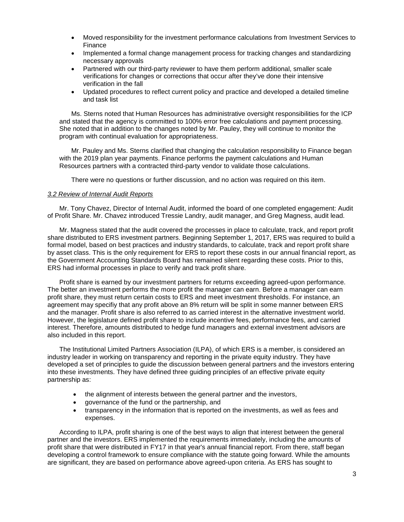- Moved responsibility for the investment performance calculations from Investment Services to Finance
- Implemented a formal change management process for tracking changes and standardizing necessary approvals
- Partnered with our third-party reviewer to have them perform additional, smaller scale verifications for changes or corrections that occur after they've done their intensive verification in the fall
- Updated procedures to reflect current policy and practice and developed a detailed timeline and task list

Ms. Sterns noted that Human Resources has administrative oversight responsibilities for the ICP and stated that the agency is committed to 100% error free calculations and payment processing. She noted that in addition to the changes noted by Mr. Pauley, they will continue to monitor the program with continual evaluation for appropriateness.

Mr. Pauley and Ms. Sterns clarified that changing the calculation responsibility to Finance began with the 2019 plan year payments. Finance performs the payment calculations and Human Resources partners with a contracted third-party vendor to validate those calculations.

There were no questions or further discussion, and no action was required on this item.

## <span id="page-4-0"></span>*3.2 Review of Internal Audit Reports*

<span id="page-4-1"></span>Mr. Tony Chavez, Director of Internal Audit, informed the board of one completed engagement: Audit of Profit Share. Mr. Chavez introduced Tressie Landry, audit manager, and Greg Magness, audit lead.

Mr. Magness stated that the audit covered the processes in place to calculate, track, and report profit share distributed to ERS investment partners. Beginning September 1, 2017, ERS was required to build a formal model, based on best practices and industry standards, to calculate, track and report profit share by asset class. This is the only requirement for ERS to report these costs in our annual financial report, as the Government Accounting Standards Board has remained silent regarding these costs. Prior to this, ERS had informal processes in place to verify and track profit share.

Profit share is earned by our investment partners for returns exceeding agreed-upon performance. The better an investment performs the more profit the manager can earn. Before a manager can earn profit share, they must return certain costs to ERS and meet investment thresholds. For instance, an agreement may specifiy that any profit above an 8% return will be split in some manner between ERS and the manager. Profit share is also referred to as carried interest in the alternative investment world. However, the legislature defined profit share to include incentive fees, performance fees, and carried interest. Therefore, amounts distributed to hedge fund managers and external investment advisors are also included in this report.

The Institutional Limited Partners Association (ILPA), of which ERS is a member, is considered an industry leader in working on transparency and reporting in the private equity industry. They have developed a set of principles to guide the discussion between general partners and the investors entering into these investments. They have defined three guiding principles of an effective private equity partnership as:

- the alignment of interests between the general partner and the investors,
- governance of the fund or the partnership, and
- transparency in the information that is reported on the investments, as well as fees and expenses.

According to ILPA, profit sharing is one of the best ways to align that interest between the general partner and the investors. ERS implemented the requirements immediately, including the amounts of profit share that were distributed in FY17 in that year's annual financial report. From there, staff began developing a control framework to ensure compliance with the statute going forward. While the amounts are significant, they are based on performance above agreed-upon criteria. As ERS has sought to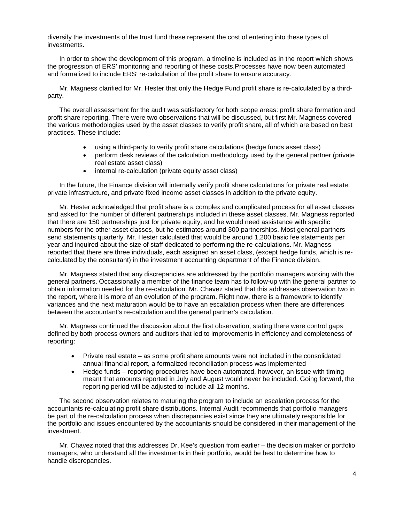diversify the investments of the trust fund these represent the cost of entering into these types of investments.

In order to show the development of this program, a timeline is included as in the report which shows the progression of ERS' monitoring and reporting of these costs.Processes have now been automated and formalized to include ERS' re-calculation of the profit share to ensure accuracy.

Mr. Magness clarified for Mr. Hester that only the Hedge Fund profit share is re-calculated by a thirdparty.

The overall assessment for the audit was satisfactory for both scope areas: profit share formation and profit share reporting. There were two observations that will be discussed, but first Mr. Magness covered the various methodologies used by the asset classes to verify profit share, all of which are based on best practices. These include:

- using a third-party to verify profit share calculations (hedge funds asset class)
- perform desk reviews of the calculation methodology used by the general partner (private real estate asset class)
- internal re-calculation (private equity asset class)

In the future, the Finance division will internally verify profit share calculations for private real estate, private infrastructure, and private fixed income asset classes in addition to the private equity.

Mr. Hester acknowledged that profit share is a complex and complicated process for all asset classes and asked for the number of different partnerships included in these asset classes. Mr. Magness reported that there are 150 partnerships just for private equity, and he would need assistance with specific numbers for the other asset classes, but he estimates around 300 partnerships. Most general partners send statements quarterly. Mr. Hester calculated that would be around 1,200 basic fee statements per year and inquired about the size of staff dedicated to performing the re-calculations. Mr. Magness reported that there are three individuals, each assigned an asset class, (except hedge funds, which is recalculated by the consultant) in the investment accounting department of the Finance division.

Mr. Magness stated that any discrepancies are addressed by the portfolio managers working with the general partners. Occassionally a member of the finance team has to follow-up with the general partner to obtain information needed for the re-calculation. Mr. Chavez stated that this addresses observation two in the report, where it is more of an evolution of the program. Right now, there is a framework to identify variances and the next maturation would be to have an escalation process when there are differences between the accountant's re-calculation and the general partner's calculation.

Mr. Magness continued the discussion about the first observation, stating there were control gaps defined by both process owners and auditors that led to improvements in efficiency and completeness of reporting:

- Private real estate as some profit share amounts were not included in the consolidated annual financial report, a formalized reconciliation process was implemented
- Hedge funds reporting procedures have been automated, however, an issue with timing meant that amounts reported in July and August would never be included. Going forward, the reporting period will be adjusted to include all 12 months.

The second observation relates to maturing the program to include an escalation process for the accountants re-calculating profit share distributions. Internal Audit recommends that portfolio managers be part of the re-calculation process when discrepancies exist since they are ultimately responsible for the portfolio and issues encountered by the accountants should be considered in their management of the investment.

Mr. Chavez noted that this addresses Dr. Kee's question from earlier – the decision maker or portfolio managers, who understand all the investments in their portfolio, would be best to determine how to handle discrepancies.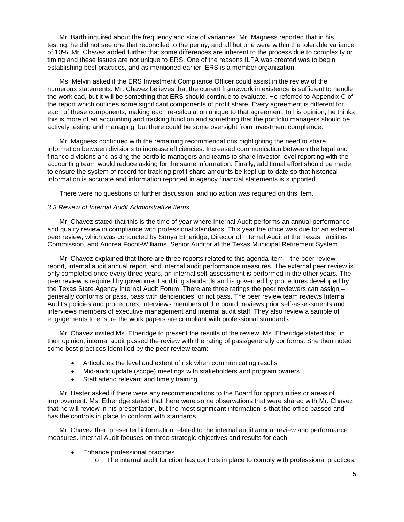Mr. Barth inquired about the frequency and size of variances. Mr. Magness reported that in his testing, he did not see one that reconciled to the penny, and all but one were within the tolerable variance of 10%. Mr. Chavez added further that some differences are inherent to the process due to complexity or timing and these issues are not unique to ERS. One of the reasons ILPA was created was to begin establishing best practices, and as mentioned earlier, ERS is a member organization.

Ms. Melvin asked if the ERS Investment Compliance Officer could assist in the review of the numerous statements. Mr. Chavez believes that the current framework in existence is sufficient to handle the workload, but it will be something that ERS should continue to evaluate. He referred to Appendix C of the report which outlines some significant components of profit share. Every agreement is different for each of these components, making each re-calculation unique to that agreement. In his opinion, he thinks this is more of an accounting and tracking function and something that the portfolio managers should be actively testing and managing, but there could be some oversight from investment compliance.

Mr. Magness continued with the remaining recommendations highlighting the need to share information between divisions to increase efficiencies. Increased communication between the legal and finance divisions and asking the portfolio managers and teams to share investor-level reporting with the accounting team would reduce asking for the same information. Finally, additional effort should be made to ensure the system of record for tracking profit share amounts be kept up-to-date so that historical information is accurate and information reported in agency financial statements is supported.

There were no questions or further discussion, and no action was required on this item.

## *3.3 Review of Internal Audit Administrative Items*

Mr. Chavez stated that this is the time of year where Internal Audit performs an annual performance and quality review in compliance with professional standards. This year the office was due for an external peer review, which was conducted by Sonya Etheridge, Director of Internal Audit at the Texas Facilities Commission, and Andrea Focht-Williams, Senior Auditor at the Texas Municipal Retirement System.

Mr. Chavez explained that there are three reports related to this agenda item – the peer review report, internal audit annual report, and internal audit performance measures. The external peer review is only completed once every three years, an internal self-assessment is performed in the other years. The peer review is required by government auditing standards and is governed by procedures developed by the Texas State Agency Internal Audit Forum. There are three ratings the peer reviewers can assign – generally conforms or pass, pass with deficiencies, or not pass. The peer review team reviews Internal Audit's policies and procedures, interviews members of the board, reviews prior self-assessments and interviews members of executive management and internal audit staff. They also review a sample of engagements to ensure the work papers are compliant with professional standards.

Mr. Chavez invited Ms. Etheridge to present the results of the review. Ms. Etheridge stated that, in their opinion, internal audit passed the review with the rating of pass/generally conforms. She then noted some best practices identified by the peer review team:

- Articulates the level and extent of risk when communicating results
- Mid-audit update (scope) meetings with stakeholders and program owners
- Staff attend relevant and timely training

Mr. Hester asked if there were any recommendations to the Board for opportunities or areas of improvement. Ms. Etheridge stated that there were some observations that were shared with Mr. Chavez that he will review in his presentation, but the most significant information is that the office passed and has the controls in place to conform with standards.

Mr. Chavez then presented information related to the internal audit annual review and performance measures. Internal Audit focuses on three strategic objectives and results for each:

- Enhance professional practices
	- o The internal audit function has controls in place to comply with professional practices.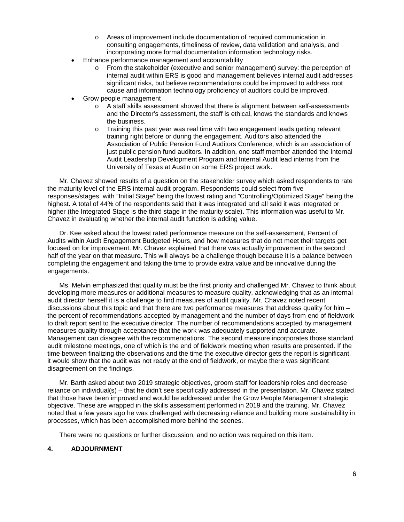- o Areas of improvement include documentation of required communication in consulting engagements, timeliness of review, data validation and analysis, and incorporating more formal documentation information technology risks.
- Enhance performance management and accountability
	- o From the stakeholder (executive and senior management) survey: the perception of internal audit within ERS is good and management believes internal audit addresses significant risks, but believe recommendations could be improved to address root cause and information technology proficiency of auditors could be improved.
- Grow people management
	- o A staff skills assessment showed that there is alignment between self-assessments and the Director's assessment, the staff is ethical, knows the standards and knows the business.
	- $\circ$  Training this past year was real time with two engagement leads getting relevant training right before or during the engagement. Auditors also attended the Association of Public Pension Fund Auditors Conference, which is an association of just public pension fund auditors. In addition, one staff member attended the Internal Audit Leadership Development Program and Internal Audit lead interns from the University of Texas at Austin on some ERS project work.

Mr. Chavez showed results of a question on the stakeholder survey which asked respondents to rate the maturity level of the ERS internal audit program. Respondents could select from five responses/stages, with "Initial Stage" being the lowest rating and "Controlling/Optimized Stage" being the highest. A total of 44% of the respondents said that it was integrated and all said it was integrated or higher (the Integrated Stage is the third stage in the maturity scale). This information was useful to Mr. Chavez in evaluating whether the internal audit function is adding value.

Dr. Kee asked about the lowest rated performance measure on the self-assessment, Percent of Audits within Audit Engagement Budgeted Hours, and how measures that do not meet their targets get focused on for improvement. Mr. Chavez explained that there was actually improvement in the second half of the year on that measure. This will always be a challenge though because it is a balance between completing the engagement and taking the time to provide extra value and be innovative during the engagements.

Ms. Melvin emphasized that quality must be the first priority and challenged Mr. Chavez to think about developing more measures or additional measures to measure quality, acknowledging that as an internal audit director herself it is a challenge to find measures of audit quality. Mr. Chavez noted recent discussions about this topic and that there are two performance measures that address quality for him – the percent of recommendations accepted by management and the number of days from end of fieldwork to draft report sent to the executive director. The number of recommendations accepted by management measures quality through acceptance that the work was adequately supported and accurate. Management can disagree with the recommendations. The second measure incorporates those standard audit milestone meetings, one of which is the end of fieldwork meeting when results are presented. If the time between finalizing the observations and the time the executive director gets the report is significant, it would show that the audit was not ready at the end of fieldwork, or maybe there was significant disagreement on the findings.

Mr. Barth asked about two 2019 strategic objectives, groom staff for leadership roles and decrease reliance on individual(s) – that he didn't see specifically addressed in the presentation. Mr. Chavez stated that those have been improved and would be addressed under the Grow People Management strategic objective. These are wrapped in the skills assessment performed in 2019 and the training. Mr. Chavez noted that a few years ago he was challenged with decreasing reliance and building more sustainability in processes, which has been accomplished more behind the scenes.

There were no questions or further discussion, and no action was required on this item.

## <span id="page-7-0"></span>**4. ADJOURNMENT**